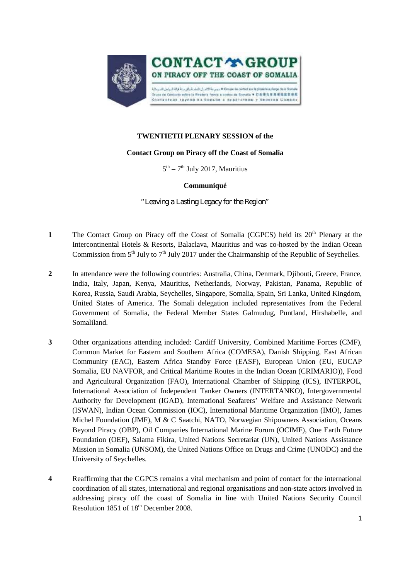

## **TWENTIETH PLENARY SESSION of the**

## **Contact Group on Piracy off the Coast of Somalia**

 $5<sup>th</sup> - 7<sup>th</sup>$  July 2017, Mauritius

## **Communiqué**

*"Leaving a Lasting Legacy for the Region"*

- 1 The Contact Group on Piracy off the Coast of Somalia (CGPCS) held its 20<sup>th</sup> Plenary at the Intercontinental Hotels & Resorts, Balaclava, Mauritius and was co-hosted by the Indian Ocean Commission from  $5<sup>th</sup>$  July to  $7<sup>th</sup>$  July 2017 under the Chairmanship of the Republic of Seychelles.
- **2** In attendance were the following countries: Australia, China, Denmark, Djibouti, Greece, France, India, Italy, Japan, Kenya, Mauritius, Netherlands, Norway, Pakistan, Panama, Republic of Korea, Russia, Saudi Arabia, Seychelles, Singapore, Somalia, Spain, Sri Lanka, United Kingdom, United States of America. The Somali delegation included representatives from the Federal Government of Somalia, the Federal Member States Galmudug, Puntland, Hirshabelle, and Somaliland.
- **3** Other organizations attending included: Cardiff University, Combined Maritime Forces (CMF), Common Market for Eastern and Southern Africa (COMESA), Danish Shipping, East African Community (EAC), Eastern Africa Standby Force (EASF), European Union (EU, EUCAP Somalia, EU NAVFOR, and Critical Maritime Routes in the Indian Ocean (CRIMARIO)), Food and Agricultural Organization (FAO), International Chamber of Shipping (ICS), INTERPOL, International Association of Independent Tanker Owners (INTERTANKO), Intergovernmental Authority for Development (IGAD), International Seafarers' Welfare and Assistance Network (ISWAN), Indian Ocean Commission (IOC), International Maritime Organization (IMO), James Michel Foundation (JMF), M & C Saatchi, NATO, Norwegian Shipowners Association, Oceans Beyond Piracy (OBP), Oil Companies International Marine Forum (OCIMF), One Earth Future Foundation (OEF), Salama Fikira, United Nations Secretariat (UN), United Nations Assistance Mission in Somalia (UNSOM), the United Nations Office on Drugs and Crime (UNODC) and the University of Seychelles.
- **4** Reaffirming that the CGPCS remains a vital mechanism and point of contact for the international coordination of all states, international and regional organisations and non-state actors involved in addressing piracy off the coast of Somalia in line with United Nations Security Council Resolution 1851 of 18<sup>th</sup> December 2008.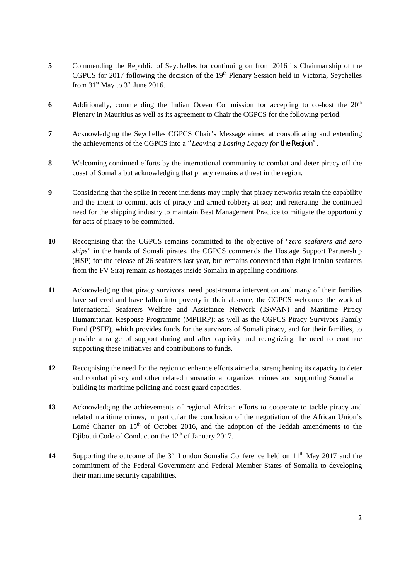- **5** Commending the Republic of Seychelles for continuing on from 2016 its Chairmanship of the CGPCS for 2017 following the decision of the 19<sup>th</sup> Plenary Session held in Victoria, Seychelles from  $31<sup>st</sup>$  May to  $3<sup>rd</sup>$  June 2016.
- **6** Additionally, commending the Indian Ocean Commission for accepting to co-host the 20<sup>th</sup> Plenary in Mauritius as well as its agreement to Chair the CGPCS for the following period.
- **7** Acknowledging the Seychelles CGPCS Chair's Message aimed at consolidating and extending the achievements of the CGPCS into a *"Leaving a Lasting Legacy for the Region".*
- **8** Welcoming continued efforts by the international community to combat and deter piracy off the coast of Somalia but acknowledging that piracy remains a threat in the region.
- **9** Considering that the spike in recent incidents may imply that piracy networks retain the capability and the intent to commit acts of piracy and armed robbery at sea; and reiterating the continued need for the shipping industry to maintain Best Management Practice to mitigate the opportunity for acts of piracy to be committed.
- **10** Recognising that the CGPCS remains committed to the objective of "*zero seafarers and zero ships*" in the hands of Somali pirates, the CGPCS commends the Hostage Support Partnership (HSP) for the release of 26 seafarers last year, but remains concerned that eight Iranian seafarers from the FV Siraj remain as hostages inside Somalia in appalling conditions.
- **11** Acknowledging that piracy survivors, need post-trauma intervention and many of their families have suffered and have fallen into poverty in their absence, the CGPCS welcomes the work of International Seafarers Welfare and Assistance Network (ISWAN) and Maritime Piracy Humanitarian Response Programme (MPHRP); as well as the CGPCS Piracy Survivors Family Fund (PSFF), which provides funds for the survivors of Somali piracy, and for their families, to provide a range of support during and after captivity and recognizing the need to continue supporting these initiatives and contributions to funds.
- **12** Recognising the need for the region to enhance efforts aimed at strengthening its capacity to deter and combat piracy and other related transnational organized crimes and supporting Somalia in building its maritime policing and coast guard capacities.
- **13** Acknowledging the achievements of regional African efforts to cooperate to tackle piracy and related maritime crimes, in particular the conclusion of the negotiation of the African Union's Lomé Charter on  $15<sup>th</sup>$  of October 2016, and the adoption of the Jeddah amendments to the Djibouti Code of Conduct on the  $12<sup>th</sup>$  of January 2017.
- 14 Supporting the outcome of the 3<sup>rd</sup> London Somalia Conference held on 11<sup>th</sup> May 2017 and the commitment of the Federal Government and Federal Member States of Somalia to developing their maritime security capabilities.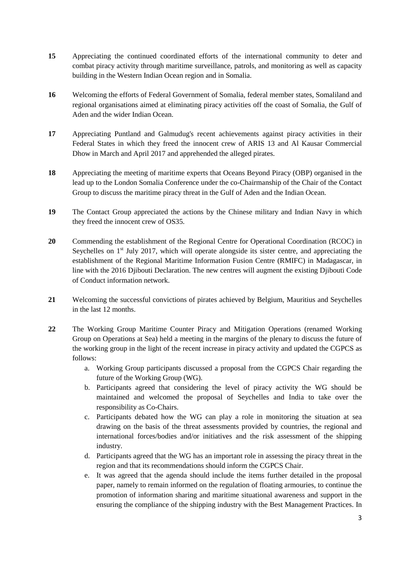- **15** Appreciating the continued coordinated efforts of the international community to deter and combat piracy activity through maritime surveillance, patrols, and monitoring as well as capacity building in the Western Indian Ocean region and in Somalia.
- **16** Welcoming the efforts of Federal Government of Somalia, federal member states, Somaliland and regional organisations aimed at eliminating piracy activities off the coast of Somalia, the Gulf of Aden and the wider Indian Ocean.
- **17** Appreciating Puntland and Galmudug's recent achievements against piracy activities in their Federal States in which they freed the innocent crew of ARIS 13 and Al Kausar Commercial Dhow in March and April 2017 and apprehended the alleged pirates.
- **18** Appreciating the meeting of maritime experts that Oceans Beyond Piracy (OBP) organised in the lead up to the London Somalia Conference under the co-Chairmanship of the Chair of the Contact Group to discuss the maritime piracy threat in the Gulf of Aden and the Indian Ocean.
- **19** The Contact Group appreciated the actions by the Chinese military and Indian Navy in which they freed the innocent crew of OS35.
- 20 Commending the establishment of the Regional Centre for Operational Coordination (RCOC) in Seychelles on  $1<sup>st</sup>$  July 2017, which will operate alongside its sister centre, and appreciating the establishment of the Regional Maritime Information Fusion Centre (RMIFC) in Madagascar, in line with the 2016 Djibouti Declaration. The new centres will augment the existing Djibouti Code of Conduct information network.
- **21** Welcoming the successful convictions of pirates achieved by Belgium, Mauritius and Seychelles in the last 12 months.
- **22** The Working Group Maritime Counter Piracy and Mitigation Operations (renamed Working Group on Operations at Sea) held a meeting in the margins of the plenary to discuss the future of the working group in the light of the recent increase in piracy activity and updated the CGPCS as follows:
	- a. Working Group participants discussed a proposal from the CGPCS Chair regarding the future of the Working Group (WG).
	- b. Participants agreed that considering the level of piracy activity the WG should be maintained and welcomed the proposal of Seychelles and India to take over the responsibility as Co-Chairs.
	- c. Participants debated how the WG can play a role in monitoring the situation at sea drawing on the basis of the threat assessments provided by countries, the regional and international forces/bodies and/or initiatives and the risk assessment of the shipping industry.
	- d. Participants agreed that the WG has an important role in assessing the piracy threat in the region and that its recommendations should inform the CGPCS Chair.
	- e. It was agreed that the agenda should include the items further detailed in the proposal paper, namely to remain informed on the regulation of floating armouries, to continue the promotion of information sharing and maritime situational awareness and support in the ensuring the compliance of the shipping industry with the Best Management Practices. In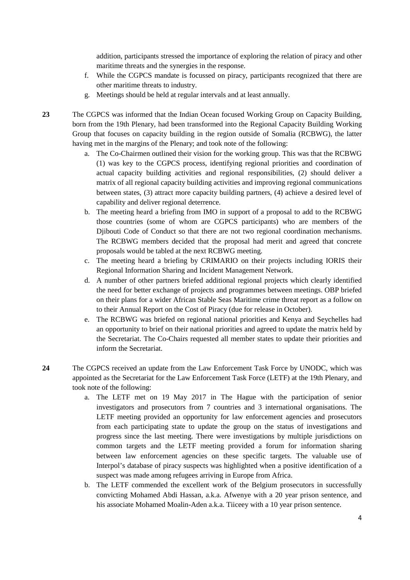addition, participants stressed the importance of exploring the relation of piracy and other maritime threats and the synergies in the response.

- f. While the CGPCS mandate is focussed on piracy, participants recognized that there are other maritime threats to industry.
- g. Meetings should be held at regular intervals and at least annually.

**23** The CGPCS was informed that the Indian Ocean focused Working Group on Capacity Building, born from the 19th Plenary, had been transformed into the Regional Capacity Building Working Group that focuses on capacity building in the region outside of Somalia (RCBWG), the latter having met in the margins of the Plenary; and took note of the following:

- a. The Co-Chairmen outlined their vision for the working group. This was that the RCBWG (1) was key to the CGPCS process, identifying regional priorities and coordination of actual capacity building activities and regional responsibilities, (2) should deliver a matrix of all regional capacity building activities and improving regional communications between states, (3) attract more capacity building partners, (4) achieve a desired level of capability and deliver regional deterrence.
- b. The meeting heard a briefing from IMO in support of a proposal to add to the RCBWG those countries (some of whom are CGPCS participants) who are members of the Djibouti Code of Conduct so that there are not two regional coordination mechanisms. The RCBWG members decided that the proposal had merit and agreed that concrete proposals would be tabled at the next RCBWG meeting.
- c. The meeting heard a briefing by CRIMARIO on their projects including IORIS their Regional Information Sharing and Incident Management Network.
- d. A number of other partners briefed additional regional projects which clearly identified the need for better exchange of projects and programmes between meetings. OBP briefed on their plans for a wider African Stable Seas Maritime crime threat report as a follow on to their Annual Report on the Cost of Piracy (due for release in October).
- e. The RCBWG was briefed on regional national priorities and Kenya and Seychelles had an opportunity to brief on their national priorities and agreed to update the matrix held by the Secretariat. The Co-Chairs requested all member states to update their priorities and inform the Secretariat.
- **24** The CGPCS received an update from the Law Enforcement Task Force by UNODC, which was appointed as the Secretariat for the Law Enforcement Task Force (LETF) at the 19th Plenary, and took note of the following:
	- a. The LETF met on 19 May 2017 in The Hague with the participation of senior investigators and prosecutors from 7 countries and 3 international organisations. The LETF meeting provided an opportunity for law enforcement agencies and prosecutors from each participating state to update the group on the status of investigations and progress since the last meeting. There were investigations by multiple jurisdictions on common targets and the LETF meeting provided a forum for information sharing between law enforcement agencies on these specific targets. The valuable use of Interpol's database of piracy suspects was highlighted when a positive identification of a suspect was made among refugees arriving in Europe from Africa.
	- b. The LETF commended the excellent work of the Belgium prosecutors in successfully convicting Mohamed Abdi Hassan, a.k.a. Afwenye with a 20 year prison sentence, and his associate Mohamed Moalin-Aden a.k.a. Tiiceey with a 10 year prison sentence.

4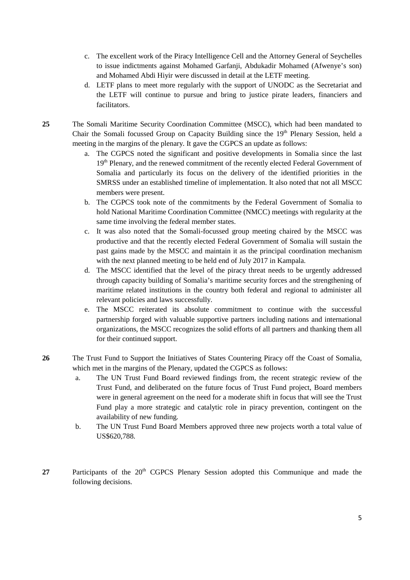- c. The excellent work of the Piracy Intelligence Cell and the Attorney General of Seychelles to issue indictments against Mohamed Garfanji, Abdukadir Mohamed (Afwenye's son) and Mohamed Abdi Hiyir were discussed in detail at the LETF meeting.
- d. LETF plans to meet more regularly with the support of UNODC as the Secretariat and the LETF will continue to pursue and bring to justice pirate leaders, financiers and facilitators.

**25** The Somali Maritime Security Coordination Committee (MSCC), which had been mandated to Chair the Somali focussed Group on Capacity Building since the 19<sup>th</sup> Plenary Session, held a meeting in the margins of the plenary. It gave the CGPCS an update as follows:

- a. The CGPCS noted the significant and positive developments in Somalia since the last 19<sup>th</sup> Plenary, and the renewed commitment of the recently elected Federal Government of Somalia and particularly its focus on the delivery of the identified priorities in the SMRSS under an established timeline of implementation. It also noted that not all MSCC members were present.
- b. The CGPCS took note of the commitments by the Federal Government of Somalia to hold National Maritime Coordination Committee (NMCC) meetings with regularity at the same time involving the federal member states.
- c. It was also noted that the Somali-focussed group meeting chaired by the MSCC was productive and that the recently elected Federal Government of Somalia will sustain the past gains made by the MSCC and maintain it as the principal coordination mechanism with the next planned meeting to be held end of July 2017 in Kampala.
- d. The MSCC identified that the level of the piracy threat needs to be urgently addressed through capacity building of Somalia's maritime security forces and the strengthening of maritime related institutions in the country both federal and regional to administer all relevant policies and laws successfully.
- e. The MSCC reiterated its absolute commitment to continue with the successful partnership forged with valuable supportive partners including nations and international organizations, the MSCC recognizes the solid efforts of all partners and thanking them all for their continued support.
- 26 The Trust Fund to Support the Initiatives of States Countering Piracy off the Coast of Somalia, which met in the margins of the Plenary, updated the CGPCS as follows:
	- a. The UN Trust Fund Board reviewed findings from, the recent strategic review of the Trust Fund, and deliberated on the future focus of Trust Fund project, Board members were in general agreement on the need for a moderate shift in focus that will see the Trust Fund play a more strategic and catalytic role in piracy prevention, contingent on the availability of new funding.
	- b. The UN Trust Fund Board Members approved three new projects worth a total value of US\$620,788.
- 27 Participants of the 20<sup>th</sup> CGPCS Plenary Session adopted this Communique and made the following decisions.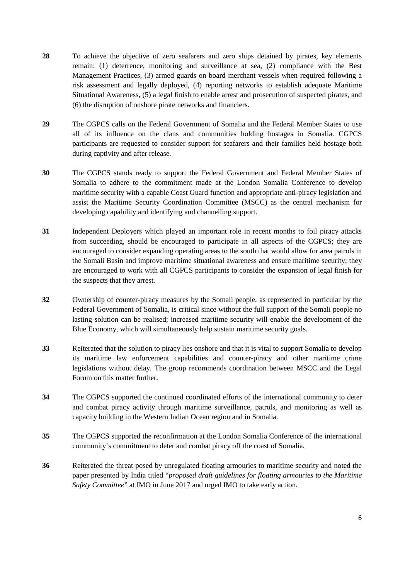- **28** To achieve the objective of zero seafarers and zero ships detained by pirates, key elements remain: (1) deterrence, monitoring and surveillance at sea, (2) compliance with the Best Management Practices, (3) armed guards on board merchant vessels when required following a risk assessment and legally deployed, (4) reporting networks to establish adequate Maritime Situational Awareness, (5) a legal finish to enable arrest and prosecution of suspected pirates, and (6) the disruption of onshore pirate networks and financiers.
- **29** The CGPCS calls on the Federal Government of Somalia and the Federal Member States to use all of its influence on the clans and communities holding hostages in Somalia. CGPCS participants are requested to consider support for seafarers and their families held hostage both during captivity and after release.
- **30** The CGPCS stands ready to support the Federal Government and Federal Member States of Somalia to adhere to the commitment made at the London Somalia Conference to develop maritime security with a capable Coast Guard function and appropriate anti-piracy legislation and assist the Maritime Security Coordination Committee (MSCC) as the central mechanism for developing capability and identifying and channelling support.
- **31** Independent Deployers which played an important role in recent months to foil piracy attacks from succeeding, should be encouraged to participate in all aspects of the CGPCS; they are encouraged to consider expanding operating areas to the south that would allow for area patrols in the Somali Basin and improve maritime situational awareness and ensure maritime security; they are encouraged to work with all CGPCS participants to consider the expansion of legal finish for the suspects that they arrest.
- **32** Ownership of counter-piracy measures by the Somali people, as represented in particular by the Federal Government of Somalia, is critical since without the full support of the Somali people no lasting solution can be realised; increased maritime security will enable the development of the Blue Economy, which will simultaneously help sustain maritime security goals.
- **33** Reiterated that the solution to piracy lies onshore and that it is vital to support Somalia to develop its maritime law enforcement capabilities and counter-piracy and other maritime crime legislations without delay. The group recommends coordination between MSCC and the Legal Forum on this matter further.
- **34** The CGPCS supported the continued coordinated efforts of the international community to deter and combat piracy activity through maritime surveillance, patrols, and monitoring as well as capacity building in the Western Indian Ocean region and in Somalia.
- **35** The CGPCS supported the reconfirmation at the London Somalia Conference of the international community's commitment to deter and combat piracy off the coast of Somalia.
- **36** Reiterated the threat posed by unregulated floating armouries to maritime security and noted the paper presented by India titled "*proposed draft guidelines for floating armouries to the Maritime Safety Committee*" at IMO in June 2017 and urged IMO to take early action.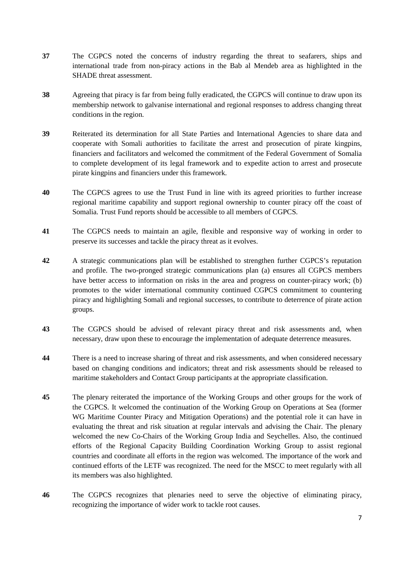- **37** The CGPCS noted the concerns of industry regarding the threat to seafarers, ships and international trade from non-piracy actions in the Bab al Mendeb area as highlighted in the SHADE threat assessment.
- **38** Agreeing that piracy is far from being fully eradicated, the CGPCS will continue to draw upon its membership network to galvanise international and regional responses to address changing threat conditions in the region.
- **39** Reiterated its determination for all State Parties and International Agencies to share data and cooperate with Somali authorities to facilitate the arrest and prosecution of pirate kingpins, financiers and facilitators and welcomed the commitment of the Federal Government of Somalia to complete development of its legal framework and to expedite action to arrest and prosecute pirate kingpins and financiers under this framework.
- **40** The CGPCS agrees to use the Trust Fund in line with its agreed priorities to further increase regional maritime capability and support regional ownership to counter piracy off the coast of Somalia. Trust Fund reports should be accessible to all members of CGPCS.
- **41** The CGPCS needs to maintain an agile, flexible and responsive way of working in order to preserve its successes and tackle the piracy threat as it evolves.
- **42** A strategic communications plan will be established to strengthen further CGPCS's reputation and profile. The two-pronged strategic communications plan (a) ensures all CGPCS members have better access to information on risks in the area and progress on counter-piracy work; (b) promotes to the wider international community continued CGPCS commitment to countering piracy and highlighting Somali and regional successes, to contribute to deterrence of pirate action groups.
- **43** The CGPCS should be advised of relevant piracy threat and risk assessments and, when necessary, draw upon these to encourage the implementation of adequate deterrence measures.
- **44** There is a need to increase sharing of threat and risk assessments, and when considered necessary based on changing conditions and indicators; threat and risk assessments should be released to maritime stakeholders and Contact Group participants at the appropriate classification.
- **45** The plenary reiterated the importance of the Working Groups and other groups for the work of the CGPCS. It welcomed the continuation of the Working Group on Operations at Sea (former WG Maritime Counter Piracy and Mitigation Operations) and the potential role it can have in evaluating the threat and risk situation at regular intervals and advising the Chair. The plenary welcomed the new Co-Chairs of the Working Group India and Seychelles. Also, the continued efforts of the Regional Capacity Building Coordination Working Group to assist regional countries and coordinate all efforts in the region was welcomed. The importance of the work and continued efforts of the LETF was recognized. The need for the MSCC to meet regularly with all its members was also highlighted.
- **46** The CGPCS recognizes that plenaries need to serve the objective of eliminating piracy, recognizing the importance of wider work to tackle root causes.